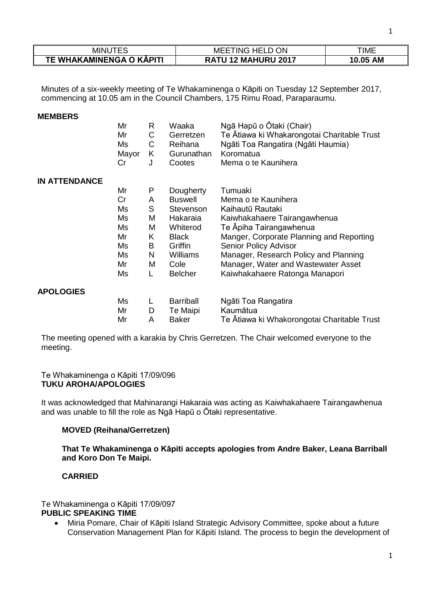| <b>MINUTES</b>           | ON<br>:ING-<br><b>HELD</b><br>MEET | TIME               |
|--------------------------|------------------------------------|--------------------|
| TE WHAKAMINENGA O KĀPITI | RATU 12 MAHURU 2017                | <b>AM</b><br>10.05 |

Minutes of a six-weekly meeting of Te Whakaminenga o Kāpiti on Tuesday 12 September 2017, commencing at 10.05 am in the Council Chambers, 175 Rimu Road, Paraparaumu.

#### **MEMBERS**

|                      | Mr<br>Mr<br>Ms<br>Mayor<br>Cr | R<br>C<br>C<br>K<br>J | Waaka<br>Gerretzen<br>Reihana<br>Gurunathan<br>Cootes | Ngā Hapū o Ōtaki (Chair)<br>Te Atiawa ki Whakarongotai Charitable Trust<br>Ngāti Toa Rangatira (Ngāti Haumia)<br>Koromatua<br>Mema o te Kaunihera |
|----------------------|-------------------------------|-----------------------|-------------------------------------------------------|---------------------------------------------------------------------------------------------------------------------------------------------------|
| <b>IN ATTENDANCE</b> |                               |                       |                                                       |                                                                                                                                                   |
|                      | Mr                            | P                     | Dougherty                                             | Tumuaki                                                                                                                                           |
|                      | Cr                            | A                     | <b>Buswell</b>                                        | Mema o te Kaunihera                                                                                                                               |
|                      | Ms                            | S                     | Stevenson                                             | Kaihautū Rautaki                                                                                                                                  |
|                      | Ms                            | M                     | Hakaraia                                              | Kaiwhakahaere Tairangawhenua                                                                                                                      |
|                      | Ms                            | M                     | Whiterod                                              | Te Apiha Tairangawhenua                                                                                                                           |
|                      | Mr                            | K                     | <b>Black</b>                                          | Manger, Corporate Planning and Reporting                                                                                                          |
|                      | Ms                            | B                     | Griffin                                               | Senior Policy Advisor                                                                                                                             |
|                      | Ms                            | N                     | Williams                                              | Manager, Research Policy and Planning                                                                                                             |
|                      | Mr                            | Μ                     | Cole                                                  | Manager, Water and Wastewater Asset                                                                                                               |
|                      | Ms                            | L                     | <b>Belcher</b>                                        | Kaiwhakahaere Ratonga Manapori                                                                                                                    |
| <b>APOLOGIES</b>     |                               |                       |                                                       |                                                                                                                                                   |
|                      | Ms                            | L                     | <b>Barriball</b>                                      | Ngāti Toa Rangatira                                                                                                                               |
|                      | Mr                            | D                     | Te Maipi                                              | Kaumātua                                                                                                                                          |
|                      | Mr                            | Α                     | <b>Baker</b>                                          | Te Ātiawa ki Whakorongotai Charitable Trust                                                                                                       |

The meeting opened with a karakia by Chris Gerretzen. The Chair welcomed everyone to the meeting.

#### Te Whakaminenga o Kāpiti 17/09/096 **TUKU AROHA/APOLOGIES**

It was acknowledged that Mahinarangi Hakaraia was acting as Kaiwhakahaere Tairangawhenua and was unable to fill the role as Ngā Hapū o Ōtaki representative.

### **MOVED (Reihana/Gerretzen)**

**That Te Whakaminenga o Kāpiti accepts apologies from Andre Baker, Leana Barriball and Koro Don Te Maipi.**

## **CARRIED**

#### Te Whakaminenga o Kāpiti 17/09/097 **PUBLIC SPEAKING TIME**

 Miria Pomare, Chair of Kāpiti Island Strategic Advisory Committee, spoke about a future Conservation Management Plan for Kāpiti Island. The process to begin the development of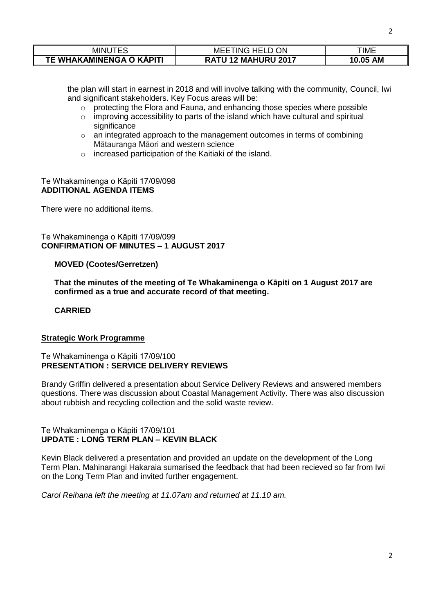| <b>MINUT</b>             | <b>ON</b><br>MEE<br>'ING HELD   | ГІМЕ               |
|--------------------------|---------------------------------|--------------------|
| TE WHAKAMINENGA O KĀPITI | / 12 MAHURU 2017<br><b>RATU</b> | <b>AM</b><br>10.05 |

the plan will start in earnest in 2018 and will involve talking with the community, Council, Iwi and significant stakeholders. Key Focus areas will be:

- o protecting the Flora and Fauna, and enhancing those species where possible
- o improving accessibility to parts of the island which have cultural and spiritual significance
- o an integrated approach to the management outcomes in terms of combining Mātauranga Māori and western science
- o increased participation of the Kaitiaki of the island.

#### Te Whakaminenga o Kāpiti 17/09/098 **ADDITIONAL AGENDA ITEMS**

There were no additional items.

# Te Whakaminenga o Kāpiti 17/09/099 **CONFIRMATION OF MINUTES – 1 AUGUST 2017**

## **MOVED (Cootes/Gerretzen)**

**That the minutes of the meeting of Te Whakaminenga o Kāpiti on 1 August 2017 are confirmed as a true and accurate record of that meeting.**

#### **CARRIED**

#### **Strategic Work Programme**

#### Te Whakaminenga o Kāpiti 17/09/100 **PRESENTATION : SERVICE DELIVERY REVIEWS**

Brandy Griffin delivered a presentation about Service Delivery Reviews and answered members questions. There was discussion about Coastal Management Activity. There was also discussion about rubbish and recycling collection and the solid waste review.

## Te Whakaminenga o Kāpiti 17/09/101 **UPDATE : LONG TERM PLAN – KEVIN BLACK**

Kevin Black delivered a presentation and provided an update on the development of the Long Term Plan. Mahinarangi Hakaraia sumarised the feedback that had been recieved so far from Iwi on the Long Term Plan and invited further engagement.

*Carol Reihana left the meeting at 11.07am and returned at 11.10 am.*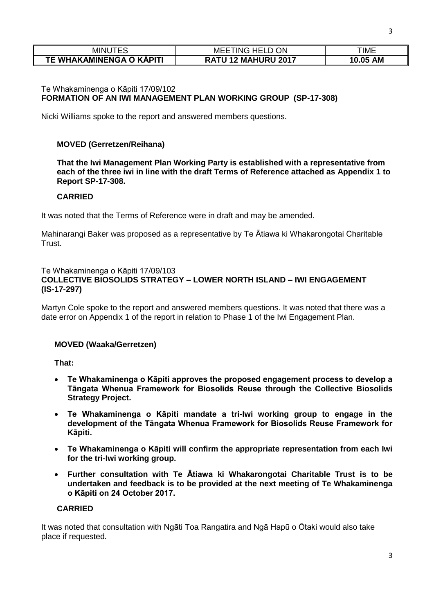| MINU<br>.                | ON<br>ING.<br>MEE<br><b>HFL</b> | TIME               |
|--------------------------|---------------------------------|--------------------|
| TE WHAKAMINENGA O KĀPITI | 12 MAHURU 2017<br><b>RATU</b>   | <b>AM</b><br>10.05 |

# Te Whakaminenga o Kāpiti 17/09/102 **FORMATION OF AN IWI MANAGEMENT PLAN WORKING GROUP (SP-17-308)**

Nicki Williams spoke to the report and answered members questions.

# **MOVED (Gerretzen/Reihana)**

**That the Iwi Management Plan Working Party is established with a representative from each of the three iwi in line with the draft Terms of Reference attached as Appendix 1 to Report SP-17-308.**

## **CARRIED**

It was noted that the Terms of Reference were in draft and may be amended.

Mahinarangi Baker was proposed as a representative by Te Ātiawa ki Whakarongotai Charitable Trust.

## Te Whakaminenga o Kāpiti 17/09/103 **COLLECTIVE BIOSOLIDS STRATEGY – LOWER NORTH ISLAND – IWI ENGAGEMENT (IS-17-297)**

Martyn Cole spoke to the report and answered members questions. It was noted that there was a date error on Appendix 1 of the report in relation to Phase 1 of the Iwi Engagement Plan.

# **MOVED (Waaka/Gerretzen)**

**That:**

- **Te Whakaminenga o Kāpiti approves the proposed engagement process to develop a Tāngata Whenua Framework for Biosolids Reuse through the Collective Biosolids Strategy Project.**
- **Te Whakaminenga o Kāpiti mandate a tri-Iwi working group to engage in the development of the Tāngata Whenua Framework for Biosolids Reuse Framework for Kāpiti.**
- **Te Whakaminenga o Kāpiti will confirm the appropriate representation from each Iwi for the tri-Iwi working group.**
- **Further consultation with Te Ātiawa ki Whakarongotai Charitable Trust is to be undertaken and feedback is to be provided at the next meeting of Te Whakaminenga o Kāpiti on 24 October 2017.**

### **CARRIED**

It was noted that consultation with Ngāti Toa Rangatira and Ngā Hapū o Ōtaki would also take place if requested.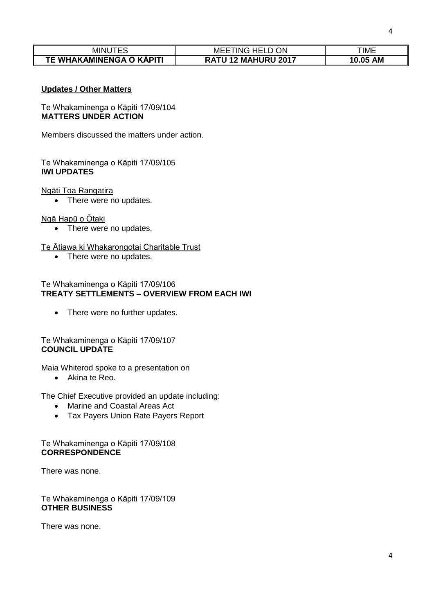| MINU                     | <b>MEETING HELD ON</b>     | ΓΙΜΕ     |
|--------------------------|----------------------------|----------|
| TE WHAKAMINENGA O KĀPITI | <b>RATU 12 MAHURU 2017</b> | 10.05 AM |

## **Updates / Other Matters**

Te Whakaminenga o Kāpiti 17/09/104 **MATTERS UNDER ACTION**

Members discussed the matters under action.

# Te Whakaminenga o Kāpiti 17/09/105 **IWI UPDATES**

#### Ngāti Toa Rangatira

• There were no updates.

#### Ngā Hapū o Ōtaki

• There were no updates.

### Te Ātiawa ki Whakarongotai Charitable Trust

• There were no updates.

## Te Whakaminenga o Kāpiti 17/09/106 **TREATY SETTLEMENTS – OVERVIEW FROM EACH IWI**

• There were no further updates.

## Te Whakaminenga o Kāpiti 17/09/107 **COUNCIL UPDATE**

Maia Whiterod spoke to a presentation on

Akina te Reo.

The Chief Executive provided an update including:

- Marine and Coastal Areas Act
- Tax Payers Union Rate Payers Report

## Te Whakaminenga o Kāpiti 17/09/108 **CORRESPONDENCE**

There was none.

Te Whakaminenga o Kāpiti 17/09/109 **OTHER BUSINESS**

There was none.